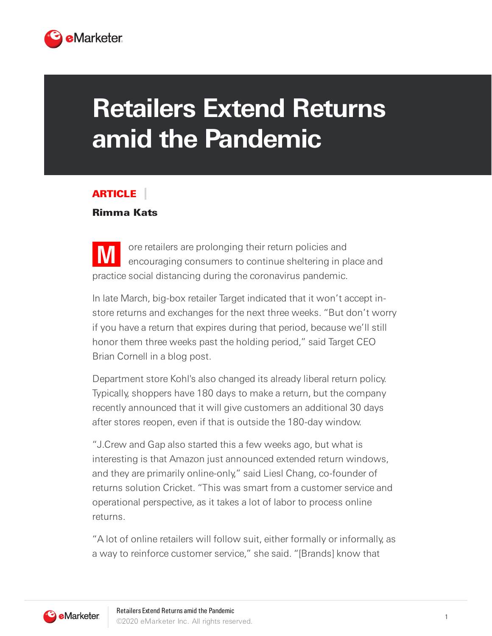

## **Retailers Extend Returns amid the Pandemic**

## ARTICLE

## Rimma Kats

**M** ore retailers are prolonging their return policies and encouraging consumers to continue sheltering in place and practice social distancing during the coronavirus pandemic.

In late March, big-box retailer Target indicated that it won't accept instore returns and exchanges for the next three weeks. "But don't worry if you have a return that expires during that period, because we'll still honor them three weeks past the holding period," said Target CEO Brian Cornell in a blog post.

Department store Kohl's also changed its already liberal return policy. Typically, shoppers have 180 days to make a return, but the company recently announced that it will give customers an additional 30 days after stores reopen, even if that is outside the 180-day window.

"J.Crew and Gap also started this a few weeks ago, but what is interesting is that Amazon just announced extended return windows, and they are primarily online-only," said Liesl Chang, co-founder of returns solution Cricket. "This was smart from a customer service and operational perspective, as it takes a lot of labor to process online returns.

"A lot of online retailers will follow suit, either formally or informally, as a way to reinforce customer service," she said. "[Brands] know that

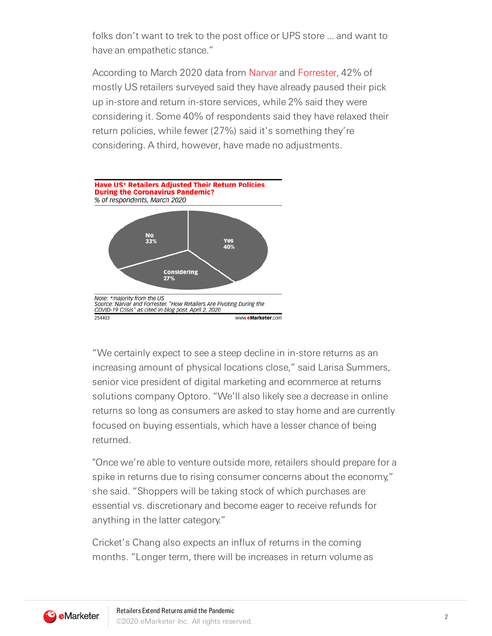folks don't want to trek to the post office or UPS store ... and want to have an empathetic stance."

According to March 2020 data from [Narvar](https://corp.narvar.com/) and [Forrester,](https://go.forrester.com/consulting/) 42% of mostly US retailers surveyed said they have already paused their pick up in-store and return in-store services, while 2% said they were considering it. Some 40% of respondents said they have relaxed their return policies, while fewer (27%) said it's something they're considering. A third, however, have made no adjustments.



"We certainly expect to see a steep decline in in-store returns as an increasing amount of physical locations close," said Larisa Summers, senior vice president of digital marketing and ecommerce at returns solutions company Optoro. "We'll also likely see a decrease in online returns so long as consumers are asked to stay home and are currently focused on buying essentials, which have a lesser chance of being returned.

"Once we're able to venture outside more, retailers should prepare for a spike in returns due to rising consumer concerns about the economy," she said. "Shoppers will be taking stock of which purchases are essential vs. discretionary and become eager to receive refunds for anything in the latter category."

Cricket's Chang also expects an influx of returns in the coming months. "Longer term, there will be increases in return volume as

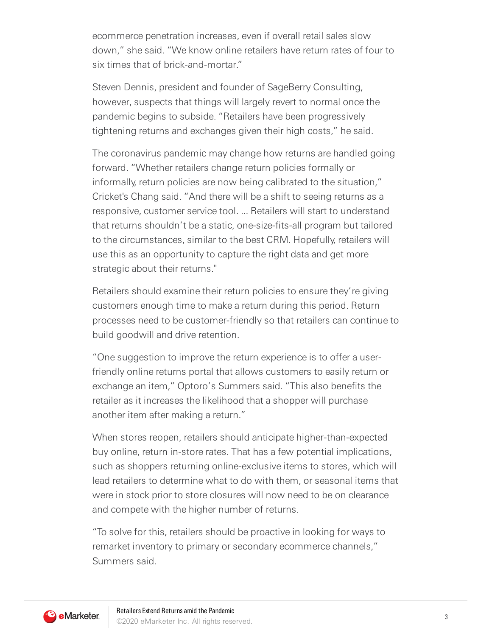ecommerce penetration increases, even if overall retail sales slow down," she said. "We know online retailers have return rates of four to six times that of brick-and-mortar."

Steven Dennis, president and founder of SageBerry Consulting, however, suspects that things will largely revert to normal once the pandemic begins to subside. "Retailers have been progressively tightening returns and exchanges given their high costs," he said.

The coronavirus pandemic may change how returns are handled going forward. "Whether retailers change return policies formally or informally, return policies are now being calibrated to the situation," Cricket's Chang said. "And there will be a shift to seeing returns as a responsive, customer service tool. ... Retailers will start to understand that returns shouldn't be a static, one-size-fits-all program but tailored to the circumstances, similar to the best CRM. Hopefully, retailers will use this as an opportunity to capture the right data and get more strategic about their returns."

Retailers should examine their return policies to ensure they're giving customers enough time to make a return during this period. Return processes need to be customer-friendly so that retailers can continue to build goodwill and drive retention.

"One suggestion to improve the return experience is to offer a userfriendly online returns portal that allows customers to easily return or exchange an item," Optoro's Summers said. "This also benefits the retailer as it increases the likelihood that a shopper will purchase another item after making a return."

When stores reopen, retailers should anticipate higher-than-expected buy online, return in-store rates. That has a few potential implications, such as shoppers returning online-exclusive items to stores, which will lead retailers to determine what to do with them, or seasonal items that were in stock prior to store closures will now need to be on clearance and compete with the higher number of returns.

"To solve for this, retailers should be proactive in looking for ways to remarket inventory to primary or secondary ecommerce channels," Summers said.